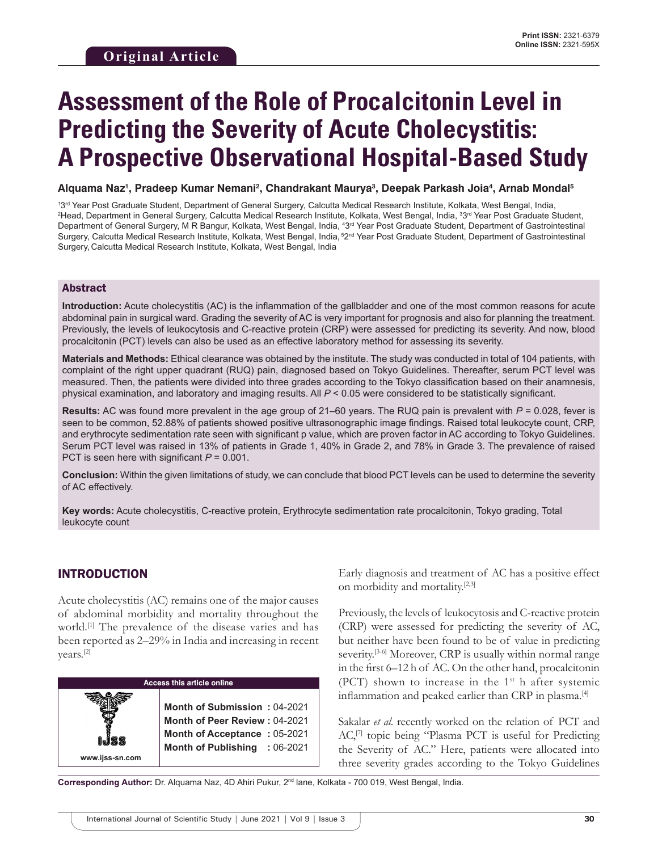# **Assessment of the Role of Procalcitonin Level in Predicting the Severity of Acute Cholecystitis: A Prospective Observational Hospital-Based Study**

**Alquama Naz1 , Pradeep Kumar Nemani2 , Chandrakant Maurya3 , Deepak Parkash Joia4 , Arnab Mondal5**

<sup>13rd</sup> Year Post Graduate Student, Department of General Surgery, Calcutta Medical Research Institute, Kolkata, West Bengal, India,<br><sup>2</sup>Head, Department in General Surgery, Calcutta Medical Research Institute, Kolkata, West Head, Department in General Surgery, Calcutta Medical Research Institute, Kolkata, West Bengal, India, 3 3rd Year Post Graduate Student, Department of General Surgery, M R Bangur, Kolkata, West Bengal, India, 4 3rd Year Post Graduate Student, Department of Gastrointestinal Surgery, Calcutta Medical Research Institute, Kolkata, West Bengal, India, 52<sup>nd</sup> Year Post Graduate Student, Department of Gastrointestinal Surgery, Calcutta Medical Research Institute, Kolkata, West Bengal, India

#### Abstract

**Introduction:** Acute cholecystitis (AC) is the inflammation of the gallbladder and one of the most common reasons for acute abdominal pain in surgical ward. Grading the severity of AC is very important for prognosis and also for planning the treatment. Previously, the levels of leukocytosis and C-reactive protein (CRP) were assessed for predicting its severity. And now, blood procalcitonin (PCT) levels can also be used as an effective laboratory method for assessing its severity.

**Materials and Methods:** Ethical clearance was obtained by the institute. The study was conducted in total of 104 patients, with complaint of the right upper quadrant (RUQ) pain, diagnosed based on Tokyo Guidelines. Thereafter, serum PCT level was measured. Then, the patients were divided into three grades according to the Tokyo classification based on their anamnesis, physical examination, and laboratory and imaging results. All *P* < 0.05 were considered to be statistically significant.

**Results:** AC was found more prevalent in the age group of 21–60 years. The RUQ pain is prevalent with *P* = 0.028, fever is seen to be common, 52.88% of patients showed positive ultrasonographic image findings. Raised total leukocyte count, CRP, and erythrocyte sedimentation rate seen with significant p value, which are proven factor in AC according to Tokyo Guidelines. Serum PCT level was raised in 13% of patients in Grade 1, 40% in Grade 2, and 78% in Grade 3. The prevalence of raised PCT is seen here with significant *P* = 0.001.

**Conclusion:** Within the given limitations of study, we can conclude that blood PCT levels can be used to determine the severity of AC effectively.

**Key words:** Acute cholecystitis, C-reactive protein, Erythrocyte sedimentation rate procalcitonin, Tokyo grading, Total leukocyte count

## INTRODUCTION

**www.ijss-sn.com**

Acute cholecystitis (AC) remains one of the major causes of abdominal morbidity and mortality throughout the world.<sup>[1]</sup> The prevalence of the disease varies and has been reported as 2–29% in India and increasing in recent years.[2]

| Access this article online |                            |  |  |  |
|----------------------------|----------------------------|--|--|--|
|                            | <b>Month of Submission</b> |  |  |  |

**Month of Peer Review :** 04-2021 **Month of Acceptance :** 05-2021 **Month of Publishing :** 06-2021 Early diagnosis and treatment of AC has a positive effect on morbidity and mortality.[2,3]

Previously, the levels of leukocytosis and C-reactive protein (CRP) were assessed for predicting the severity of AC, but neither have been found to be of value in predicting severity.<sup>[3-6]</sup> Moreover, CRP is usually within normal range in the first 6–12 h of AC. On the other hand, procalcitonin (PCT) shown to increase in the  $1<sup>st</sup>$  h after systemic inflammation and peaked earlier than CRP in plasma.[4]

Sakalar *et al*. recently worked on the relation of PCT and AC,<sup>[7]</sup> topic being "Plasma PCT is useful for Predicting the Severity of AC." Here, patients were allocated into three severity grades according to the Tokyo Guidelines

**Corresponding Author:** Dr. Alquama Naz, 4D Ahiri Pukur, 2nd lane, Kolkata - 700 019, West Bengal, India.

**Month of Submission :** 04-2021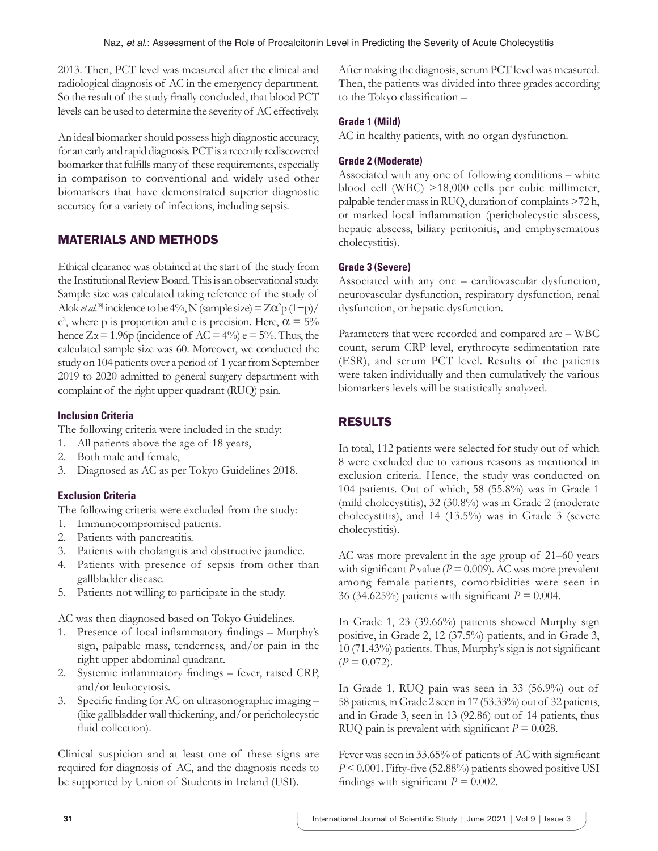2013. Then, PCT level was measured after the clinical and radiological diagnosis of AC in the emergency department. So the result of the study finally concluded, that blood PCT levels can be used to determine the severity of AC effectively.

An ideal biomarker should possess high diagnostic accuracy, for an early and rapid diagnosis. PCT is a recently rediscovered biomarker that fulfills many of these requirements, especially in comparison to conventional and widely used other biomarkers that have demonstrated superior diagnostic accuracy for a variety of infections, including sepsis.

# MATERIALS AND METHODS

Ethical clearance was obtained at the start of the study from the Institutional Review Board. This is an observational study. Sample size was calculated taking reference of the study of Alok *et al.*<sup>[8]</sup> incidence to be 4%, N (sample size) =  $Z\alpha^2 p (1-p)$ /  $e^2$ , where p is proportion and e is precision. Here,  $\alpha = 5\%$ hence  $Z\alpha = 1.96p$  (incidence of AC = 4%) e = 5%. Thus, the calculated sample size was 60. Moreover, we conducted the study on 104 patients over a period of 1 year from September 2019 to 2020 admitted to general surgery department with complaint of the right upper quadrant (RUQ) pain.

## **Inclusion Criteria**

The following criteria were included in the study:

- 1. All patients above the age of 18 years,
- 2. Both male and female,
- 3. Diagnosed as AC as per Tokyo Guidelines 2018.

## **Exclusion Criteria**

The following criteria were excluded from the study:

- 1. Immunocompromised patients.
- 2. Patients with pancreatitis.
- 3. Patients with cholangitis and obstructive jaundice.
- 4. Patients with presence of sepsis from other than gallbladder disease.
- 5. Patients not willing to participate in the study.

AC was then diagnosed based on Tokyo Guidelines.

- 1. Presence of local inflammatory findings Murphy's sign, palpable mass, tenderness, and/or pain in the right upper abdominal quadrant.
- 2. Systemic inflammatory findings fever, raised CRP, and/or leukocytosis.
- 3. Specific finding for AC on ultrasonographic imaging (like gallbladder wall thickening, and/or pericholecystic fluid collection).

Clinical suspicion and at least one of these signs are required for diagnosis of AC, and the diagnosis needs to be supported by Union of Students in Ireland (USI).

After making the diagnosis, serum PCT level was measured. Then, the patients was divided into three grades according to the Tokyo classification –

## **Grade 1 (Mild)**

AC in healthy patients, with no organ dysfunction.

#### **Grade 2 (Moderate)**

Associated with any one of following conditions – white blood cell (WBC) >18,000 cells per cubic millimeter, palpable tender mass in RUQ, duration of complaints >72 h, or marked local inflammation (pericholecystic abscess, hepatic abscess, biliary peritonitis, and emphysematous cholecystitis).

#### **Grade 3 (Severe)**

Associated with any one – cardiovascular dysfunction, neurovascular dysfunction, respiratory dysfunction, renal dysfunction, or hepatic dysfunction.

Parameters that were recorded and compared are – WBC count, serum CRP level, erythrocyte sedimentation rate (ESR), and serum PCT level. Results of the patients were taken individually and then cumulatively the various biomarkers levels will be statistically analyzed.

# RESULTS

In total, 112 patients were selected for study out of which 8 were excluded due to various reasons as mentioned in exclusion criteria. Hence, the study was conducted on 104 patients. Out of which, 58 (55.8%) was in Grade 1 (mild cholecystitis), 32 (30.8%) was in Grade 2 (moderate cholecystitis), and 14 (13.5%) was in Grade 3 (severe cholecystitis).

AC was more prevalent in the age group of 21–60 years with significant  $P$  value ( $P = 0.009$ ). AC was more prevalent among female patients, comorbidities were seen in 36 (34.625%) patients with significant *P* = 0.004.

In Grade 1, 23 (39.66%) patients showed Murphy sign positive, in Grade 2, 12 (37.5%) patients, and in Grade 3, 10 (71.43%) patients. Thus, Murphy's sign is not significant  $(P = 0.072)$ .

In Grade 1, RUQ pain was seen in 33 (56.9%) out of 58 patients, in Grade 2 seen in 17 (53.33%) out of 32 patients, and in Grade 3, seen in 13 (92.86) out of 14 patients, thus RUQ pain is prevalent with significant  $P = 0.028$ .

Fever was seen in 33.65% of patients of AC with significant *P* < 0.001. Fifty-five (52.88%) patients showed positive USI findings with significant  $P = 0.002$ .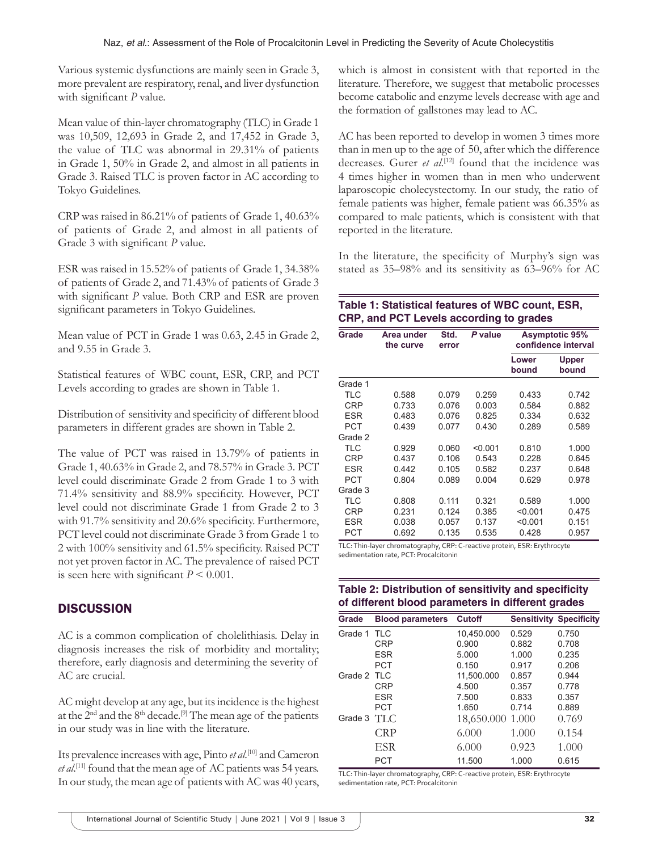Various systemic dysfunctions are mainly seen in Grade 3, more prevalent are respiratory, renal, and liver dysfunction with significant *P* value.

Mean value of thin-layer chromatography (TLC) in Grade 1 was 10,509, 12,693 in Grade 2, and 17,452 in Grade 3, the value of TLC was abnormal in 29.31% of patients in Grade 1, 50% in Grade 2, and almost in all patients in Grade 3. Raised TLC is proven factor in AC according to Tokyo Guidelines.

CRP was raised in 86.21% of patients of Grade 1, 40.63% of patients of Grade 2, and almost in all patients of Grade 3 with significant *P* value.

ESR was raised in 15.52% of patients of Grade 1, 34.38% of patients of Grade 2, and 71.43% of patients of Grade 3 with significant *P* value. Both CRP and ESR are proven significant parameters in Tokyo Guidelines.

Mean value of PCT in Grade 1 was 0.63, 2.45 in Grade 2, and 9.55 in Grade 3.

Statistical features of WBC count, ESR, CRP, and PCT Levels according to grades are shown in Table 1.

Distribution of sensitivity and specificity of different blood parameters in different grades are shown in Table 2.

The value of PCT was raised in 13.79% of patients in Grade 1, 40.63% in Grade 2, and 78.57% in Grade 3. PCT level could discriminate Grade 2 from Grade 1 to 3 with 71.4% sensitivity and 88.9% specificity. However, PCT level could not discriminate Grade 1 from Grade 2 to 3 with 91.7% sensitivity and 20.6% specificity. Furthermore, PCT level could not discriminate Grade 3 from Grade 1 to 2 with 100% sensitivity and 61.5% specificity. Raised PCT not yet proven factor in AC. The prevalence of raised PCT is seen here with significant  $P \leq 0.001$ .

# **DISCUSSION**

AC is a common complication of cholelithiasis. Delay in diagnosis increases the risk of morbidity and mortality; therefore, early diagnosis and determining the severity of AC are crucial.

AC might develop at any age, but its incidence is the highest at the  $2<sup>nd</sup>$  and the  $8<sup>th</sup>$  decade.<sup>[9]</sup> The mean age of the patients in our study was in line with the literature.

Its prevalence increases with age, Pinto *et al*. [10] and Cameron *et al*. [11] found that the mean age of AC patients was 54 years. In our study, the mean age of patients with AC was 40 years,

which is almost in consistent with that reported in the literature. Therefore, we suggest that metabolic processes become catabolic and enzyme levels decrease with age and the formation of gallstones may lead to AC.

AC has been reported to develop in women 3 times more than in men up to the age of 50, after which the difference decreases. Gurer *et al.*<sup>[12]</sup> found that the incidence was 4 times higher in women than in men who underwent laparoscopic cholecystectomy. In our study, the ratio of female patients was higher, female patient was 66.35% as compared to male patients, which is consistent with that reported in the literature.

In the literature, the specificity of Murphy's sign was stated as 35–98% and its sensitivity as 63–96% for AC

## **Table 1: Statistical features of WBC count, ESR, CRP, and PCT Levels according to grades**

| Grade      | Area under<br>the curve | Std.<br>error | P value | <b>Asymptotic 95%</b><br>confidence interval |                       |
|------------|-------------------------|---------------|---------|----------------------------------------------|-----------------------|
|            |                         |               |         | Lower<br>bound                               | <b>Upper</b><br>bound |
| Grade 1    |                         |               |         |                                              |                       |
| TI C       | 0.588                   | 0.079         | 0.259   | 0.433                                        | 0.742                 |
| <b>CRP</b> | 0.733                   | 0.076         | 0.003   | 0.584                                        | 0.882                 |
| <b>ESR</b> | 0.483                   | 0.076         | 0.825   | 0.334                                        | 0.632                 |
| PCT        | 0.439                   | 0.077         | 0.430   | 0.289                                        | 0.589                 |
| Grade 2    |                         |               |         |                                              |                       |
| TLC        | 0.929                   | 0.060         | < 0.001 | 0.810                                        | 1.000                 |
| CRP        | 0.437                   | 0.106         | 0.543   | 0.228                                        | 0.645                 |
| <b>ESR</b> | 0.442                   | 0.105         | 0.582   | 0.237                                        | 0.648                 |
| PCT        | 0.804                   | 0.089         | 0.004   | 0.629                                        | 0.978                 |
| Grade 3    |                         |               |         |                                              |                       |
| TLC        | 0.808                   | 0.111         | 0.321   | 0.589                                        | 1.000                 |
| <b>CRP</b> | 0.231                   | 0.124         | 0.385   | < 0.001                                      | 0.475                 |
| <b>ESR</b> | 0.038                   | 0.057         | 0.137   | < 0.001                                      | 0.151                 |
| PCT        | 0.692                   | 0.135         | 0.535   | 0.428                                        | 0.957                 |

TLC: Thin-layer chromatography, CRP: C-reactive protein, ESR: Erythrocyte sedimentation rate, PCT: Procalcitonin

# **Table 2: Distribution of sensitivity and specificity of different blood parameters in different grades**

| Grade          | <b>Blood parameters</b> | <b>Cutoff</b>    | <b>Sensitivity Specificity</b> |       |
|----------------|-------------------------|------------------|--------------------------------|-------|
| Grade 1        | <b>TLC</b>              | 10.450.000       | 0.529                          | 0.750 |
|                | <b>CRP</b>              | 0.900            | 0.882                          | 0.708 |
|                | <b>ESR</b>              | 5.000            | 1.000                          | 0.235 |
|                | <b>PCT</b>              | 0.150            | 0.917                          | 0.206 |
| Grade 2 TLC    |                         | 11.500.000       | 0.857                          | 0.944 |
|                | <b>CRP</b>              | 4.500            | 0.357                          | 0.778 |
|                | <b>ESR</b>              | 7.500            | 0.833                          | 0.357 |
|                | <b>PCT</b>              | 1.650            | 0.714                          | 0.889 |
| Grade $3$ TI C |                         | 18,650.000 1.000 |                                | 0.769 |
|                | CRP                     | 6.000            | 1.000                          | 0.154 |
|                | <b>ESR</b>              | 6.000            | 0.923                          | 1.000 |
|                | <b>PCT</b>              | 11.500           | 1.000                          | 0.615 |

TLC: Thin-layer chromatography, CRP: C-reactive protein, ESR: Erythrocyte sedimentation rate, PCT: Procalcitonin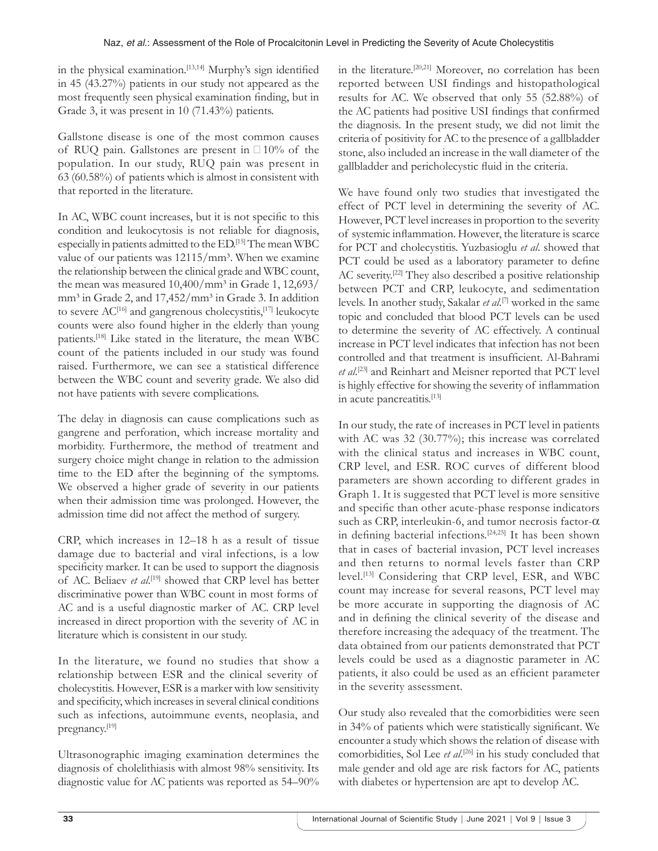in the physical examination.<sup>[13,14]</sup> Murphy's sign identified in 45 (43.27%) patients in our study not appeared as the most frequently seen physical examination finding, but in Grade 3, it was present in 10 (71.43%) patients.

Gallstone disease is one of the most common causes of RUQ pain. Gallstones are present in □10% of the population. In our study, RUQ pain was present in 63 (60.58%) of patients which is almost in consistent with that reported in the literature.

In AC, WBC count increases, but it is not specific to this condition and leukocytosis is not reliable for diagnosis, especially in patients admitted to the ED.[15] The mean WBC value of our patients was  $12115/mm^3$ . When we examine the relationship between the clinical grade and WBC count, the mean was measured  $10,400/mm^3$  in Grade 1, 12,693/ mm<sup>3</sup> in Grade 2, and 17,452/mm<sup>3</sup> in Grade 3. In addition to severe  $AC^{[16]}$  and gangrenous cholecystitis,<sup>[17]</sup> leukocyte counts were also found higher in the elderly than young patients.[18] Like stated in the literature, the mean WBC count of the patients included in our study was found raised. Furthermore, we can see a statistical difference between the WBC count and severity grade. We also did not have patients with severe complications.

The delay in diagnosis can cause complications such as gangrene and perforation, which increase mortality and morbidity. Furthermore, the method of treatment and surgery choice might change in relation to the admission time to the ED after the beginning of the symptoms. We observed a higher grade of severity in our patients when their admission time was prolonged. However, the admission time did not affect the method of surgery.

CRP, which increases in 12–18 h as a result of tissue damage due to bacterial and viral infections, is a low specificity marker. It can be used to support the diagnosis of AC. Beliaev et al.<sup>[19]</sup> showed that CRP level has better discriminative power than WBC count in most forms of AC and is a useful diagnostic marker of AC. CRP level increased in direct proportion with the severity of AC in literature which is consistent in our study.

In the literature, we found no studies that show a relationship between ESR and the clinical severity of cholecystitis. However, ESR is a marker with low sensitivity and specificity, which increases in several clinical conditions such as infections, autoimmune events, neoplasia, and pregnancy.[19]

Ultrasonographic imaging examination determines the diagnosis of cholelithiasis with almost 98% sensitivity. Its diagnostic value for AC patients was reported as 54–90% in the literature.[20,21] Moreover, no correlation has been reported between USI findings and histopathological results for AC. We observed that only 55 (52.88%) of the AC patients had positive USI findings that confirmed the diagnosis. In the present study, we did not limit the criteria of positivity for AC to the presence of a gallbladder stone, also included an increase in the wall diameter of the gallbladder and pericholecystic fluid in the criteria.

We have found only two studies that investigated the effect of PCT level in determining the severity of AC. However, PCT level increases in proportion to the severity of systemic inflammation. However, the literature is scarce for PCT and cholecystitis. Yuzbasioglu *et al*. showed that PCT could be used as a laboratory parameter to define AC severity.<sup>[22]</sup> They also described a positive relationship between PCT and CRP, leukocyte, and sedimentation levels. In another study, Sakalar *et al*. [7] worked in the same topic and concluded that blood PCT levels can be used to determine the severity of AC effectively. A continual increase in PCT level indicates that infection has not been controlled and that treatment is insufficient. Al-Bahrami *et al*. [23] and Reinhart and Meisner reported that PCT level is highly effective for showing the severity of inflammation in acute pancreatitis.<sup>[13]</sup>

In our study, the rate of increases in PCT level in patients with AC was 32 (30.77%); this increase was correlated with the clinical status and increases in WBC count, CRP level, and ESR. ROC curves of different blood parameters are shown according to different grades in Graph 1. It is suggested that PCT level is more sensitive and specific than other acute-phase response indicators such as CRP, interleukin-6, and tumor necrosis factor-α in defining bacterial infections.[24,25] It has been shown that in cases of bacterial invasion, PCT level increases and then returns to normal levels faster than CRP level.[13] Considering that CRP level, ESR, and WBC count may increase for several reasons, PCT level may be more accurate in supporting the diagnosis of AC and in defining the clinical severity of the disease and therefore increasing the adequacy of the treatment. The data obtained from our patients demonstrated that PCT levels could be used as a diagnostic parameter in AC patients, it also could be used as an efficient parameter in the severity assessment.

Our study also revealed that the comorbidities were seen in 34% of patients which were statistically significant. We encounter a study which shows the relation of disease with comorbidities, Sol Lee *et al*. [26] in his study concluded that male gender and old age are risk factors for AC, patients with diabetes or hypertension are apt to develop AC.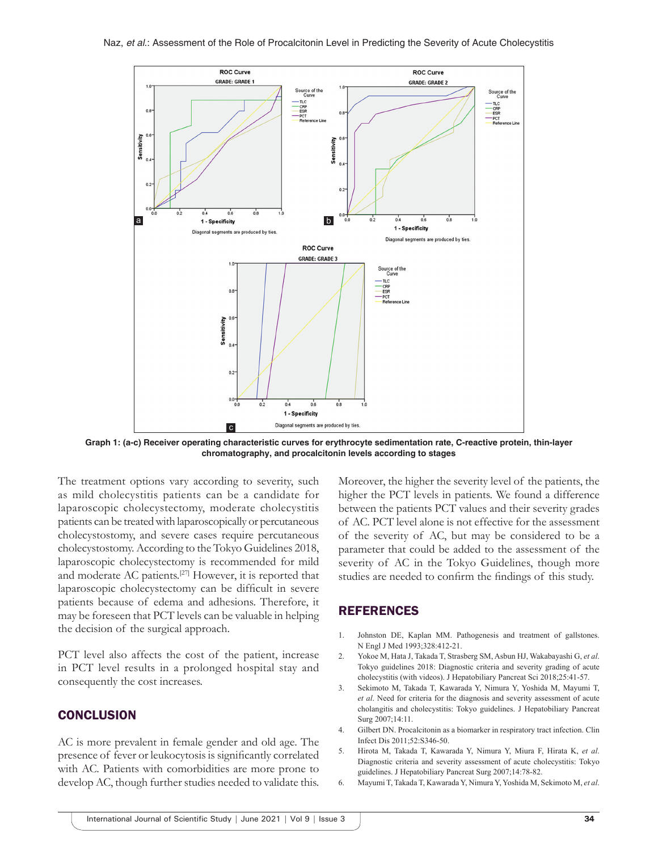

**Graph 1: (a-c) Receiver operating characteristic curves for erythrocyte sedimentation rate, C-reactive protein, thin-layer chromatography, and procalcitonin levels according to stages**

The treatment options vary according to severity, such as mild cholecystitis patients can be a candidate for laparoscopic cholecystectomy, moderate cholecystitis patients can be treated with laparoscopically or percutaneous cholecystostomy, and severe cases require percutaneous cholecystostomy. According to the Tokyo Guidelines 2018, laparoscopic cholecystectomy is recommended for mild and moderate AC patients.<sup>[27]</sup> However, it is reported that laparoscopic cholecystectomy can be difficult in severe patients because of edema and adhesions. Therefore, it may be foreseen that PCT levels can be valuable in helping the decision of the surgical approach.

PCT level also affects the cost of the patient, increase in PCT level results in a prolonged hospital stay and consequently the cost increases.

#### **CONCLUSION**

AC is more prevalent in female gender and old age. The presence of fever or leukocytosis is significantly correlated with AC. Patients with comorbidities are more prone to develop AC, though further studies needed to validate this. Moreover, the higher the severity level of the patients, the higher the PCT levels in patients. We found a difference between the patients PCT values and their severity grades of AC. PCT level alone is not effective for the assessment of the severity of AC, but may be considered to be a parameter that could be added to the assessment of the severity of AC in the Tokyo Guidelines, though more studies are needed to confirm the findings of this study.

#### REFERENCES

- 1. Johnston DE, Kaplan MM. Pathogenesis and treatment of gallstones. N Engl J Med 1993;328:412-21.
- 2. Yokoe M, Hata J, Takada T, Strasberg SM, Asbun HJ, Wakabayashi G, *et al*. Tokyo guidelines 2018: Diagnostic criteria and severity grading of acute cholecystitis (with videos). J Hepatobiliary Pancreat Sci 2018;25:41-57.
- 3. Sekimoto M, Takada T, Kawarada Y, Nimura Y, Yoshida M, Mayumi T, *et al*. Need for criteria for the diagnosis and severity assessment of acute cholangitis and cholecystitis: Tokyo guidelines. J Hepatobiliary Pancreat Surg 2007;14:11.
- 4. Gilbert DN. Procalcitonin as a biomarker in respiratory tract infection. Clin Infect Dis 2011;52:S346-50.
- 5. Hirota M, Takada T, Kawarada Y, Nimura Y, Miura F, Hirata K, *et al*. Diagnostic criteria and severity assessment of acute cholecystitis: Tokyo guidelines. J Hepatobiliary Pancreat Surg 2007;14:78-82.
- 6. Mayumi T, Takada T, Kawarada Y, Nimura Y, Yoshida M, Sekimoto M, *et al*.